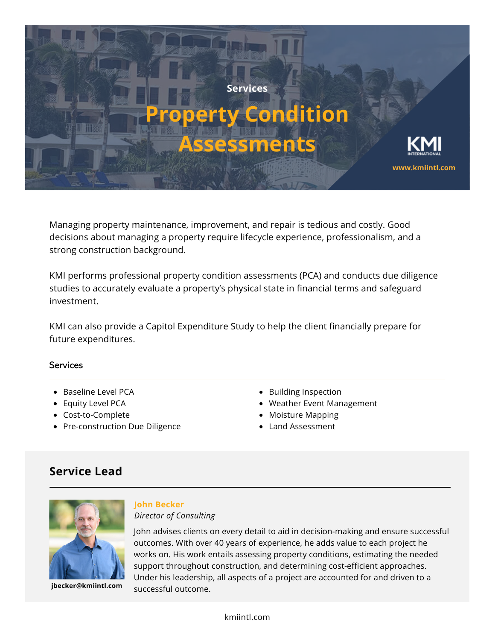

Managing property maintenance, improvement, and repair is tedious and costly. Good decisions about managing a property require lifecycle experience, professionalism, and a strong construction background.

KMI performs professional property condition assessments (PCA) and conducts due diligence studies to accurately evaluate a property's physical state in financial terms and safeguard investment.

KMI can also provide a Capitol Expenditure Study to help the client financially prepare for future expenditures.

#### **Services**

- Baseline Level PCA
- Equity Level PCA
- Cost-to-Complete
- Pre-construction Due Diligence
- Building Inspection
- Weather Event Management
- Moisture Mapping
- Land Assessment

# **Service Lead**



**jbecker@kmiintl.com**

#### **John Becker**

#### *Director of Consulting*

John advises clients on every detail to aid in decision-making and ensure successful outcomes. With over 40 years of experience, he adds value to each project he works on. His work entails assessing property conditions, estimating the needed support throughout construction, and determining cost-efficient approaches. Under his leadership, all aspects of a project are accounted for and driven to a successful outcome.